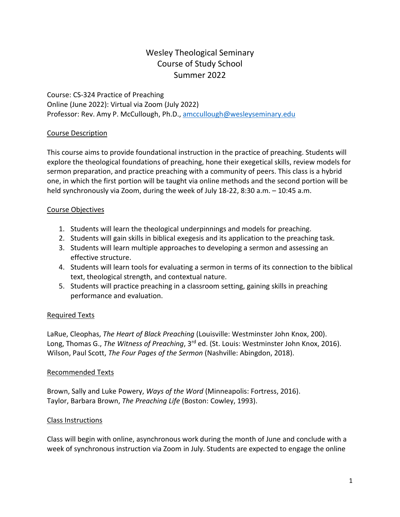# Wesley Theological Seminary Course of Study School Summer 2022

Course: CS-324 Practice of Preaching Online (June 2022): Virtual via Zoom (July 2022) Professor: Rev. Amy P. McCullough, Ph.D., [amccullough@wesleyseminary.edu](mailto:amccullough@wesleyseminary.edu)

#### Course Description

This course aims to provide foundational instruction in the practice of preaching. Students will explore the theological foundations of preaching, hone their exegetical skills, review models for sermon preparation, and practice preaching with a community of peers. This class is a hybrid one, in which the first portion will be taught via online methods and the second portion will be held synchronously via Zoom, during the week of July 18-22, 8:30 a.m. – 10:45 a.m.

#### Course Objectives

- 1. Students will learn the theological underpinnings and models for preaching.
- 2. Students will gain skills in biblical exegesis and its application to the preaching task.
- 3. Students will learn multiple approaches to developing a sermon and assessing an effective structure.
- 4. Students will learn tools for evaluating a sermon in terms of its connection to the biblical text, theological strength, and contextual nature.
- 5. Students will practice preaching in a classroom setting, gaining skills in preaching performance and evaluation.

#### Required Texts

LaRue, Cleophas, *The Heart of Black Preaching* (Louisville: Westminster John Knox, 200). Long, Thomas G., *The Witness of Preaching*, 3rd ed. (St. Louis: Westminster John Knox, 2016). Wilson, Paul Scott, *The Four Pages of the Sermon* (Nashville: Abingdon, 2018).

#### Recommended Texts

Brown, Sally and Luke Powery, *Ways of the Word* (Minneapolis: Fortress, 2016). Taylor, Barbara Brown, *The Preaching Life* (Boston: Cowley, 1993).

#### Class Instructions

Class will begin with online, asynchronous work during the month of June and conclude with a week of synchronous instruction via Zoom in July. Students are expected to engage the online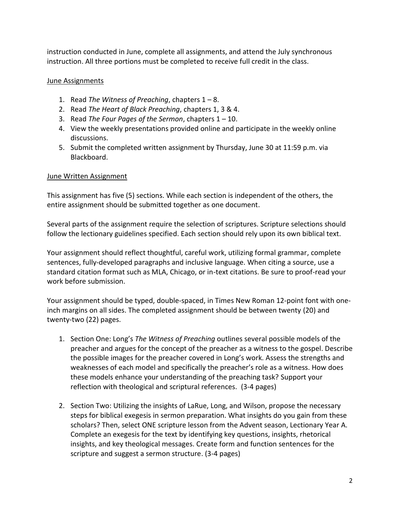instruction conducted in June, complete all assignments, and attend the July synchronous instruction. All three portions must be completed to receive full credit in the class.

### June Assignments

- 1. Read *The Witness of Preaching*, chapters 1 8.
- 2. Read *The Heart of Black Preaching*, chapters 1, 3 & 4.
- 3. Read *The Four Pages of the Sermon*, chapters 1 10.
- 4. View the weekly presentations provided online and participate in the weekly online discussions.
- 5. Submit the completed written assignment by Thursday, June 30 at 11:59 p.m. via Blackboard.

#### June Written Assignment

This assignment has five (5) sections. While each section is independent of the others, the entire assignment should be submitted together as one document.

Several parts of the assignment require the selection of scriptures. Scripture selections should follow the lectionary guidelines specified. Each section should rely upon its own biblical text.

Your assignment should reflect thoughtful, careful work, utilizing formal grammar, complete sentences, fully-developed paragraphs and inclusive language. When citing a source, use a standard citation format such as MLA, Chicago, or in-text citations. Be sure to proof-read your work before submission.

Your assignment should be typed, double-spaced, in Times New Roman 12-point font with oneinch margins on all sides. The completed assignment should be between twenty (20) and twenty-two (22) pages.

- 1. Section One: Long's *The Witness of Preaching* outlines several possible models of the preacher and argues for the concept of the preacher as a witness to the gospel. Describe the possible images for the preacher covered in Long's work. Assess the strengths and weaknesses of each model and specifically the preacher's role as a witness. How does these models enhance your understanding of the preaching task? Support your reflection with theological and scriptural references. (3-4 pages)
- 2. Section Two: Utilizing the insights of LaRue, Long, and Wilson, propose the necessary steps for biblical exegesis in sermon preparation. What insights do you gain from these scholars? Then, select ONE scripture lesson from the Advent season, Lectionary Year A. Complete an exegesis for the text by identifying key questions, insights, rhetorical insights, and key theological messages. Create form and function sentences for the scripture and suggest a sermon structure. (3-4 pages)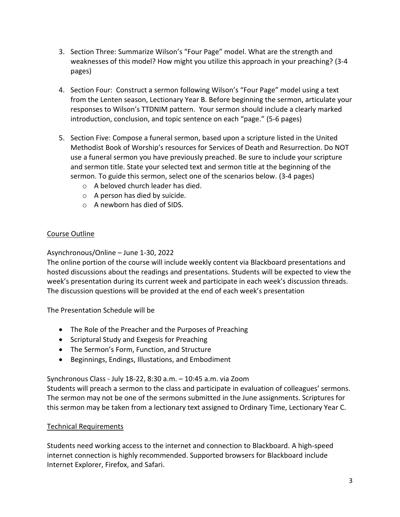- 3. Section Three: Summarize Wilson's "Four Page" model. What are the strength and weaknesses of this model? How might you utilize this approach in your preaching? (3-4 pages)
- 4. Section Four: Construct a sermon following Wilson's "Four Page" model using a text from the Lenten season, Lectionary Year B. Before beginning the sermon, articulate your responses to Wilson's TTDNIM pattern. Your sermon should include a clearly marked introduction, conclusion, and topic sentence on each "page." (5-6 pages)
- 5. Section Five: Compose a funeral sermon, based upon a scripture listed in the United Methodist Book of Worship's resources for Services of Death and Resurrection. Do NOT use a funeral sermon you have previously preached. Be sure to include your scripture and sermon title. State your selected text and sermon title at the beginning of the sermon. To guide this sermon, select one of the scenarios below. (3-4 pages)
	- o A beloved church leader has died.
	- o A person has died by suicide.
	- o A newborn has died of SIDS.

# Course Outline

## Asynchronous/Online – June 1-30, 2022

The online portion of the course will include weekly content via Blackboard presentations and hosted discussions about the readings and presentations. Students will be expected to view the week's presentation during its current week and participate in each week's discussion threads. The discussion questions will be provided at the end of each week's presentation

The Presentation Schedule will be

- The Role of the Preacher and the Purposes of Preaching
- Scriptural Study and Exegesis for Preaching
- The Sermon's Form, Function, and Structure
- Beginnings, Endings, Illustations, and Embodiment

Synchronous Class - July 18-22, 8:30 a.m. – 10:45 a.m. via Zoom

Students will preach a sermon to the class and participate in evaluation of colleagues' sermons. The sermon may not be one of the sermons submitted in the June assignments. Scriptures for this sermon may be taken from a lectionary text assigned to Ordinary Time, Lectionary Year C.

#### Technical Requirements

Students need working access to the internet and connection to Blackboard. A high-speed internet connection is highly recommended. Supported browsers for Blackboard include Internet Explorer, Firefox, and Safari.